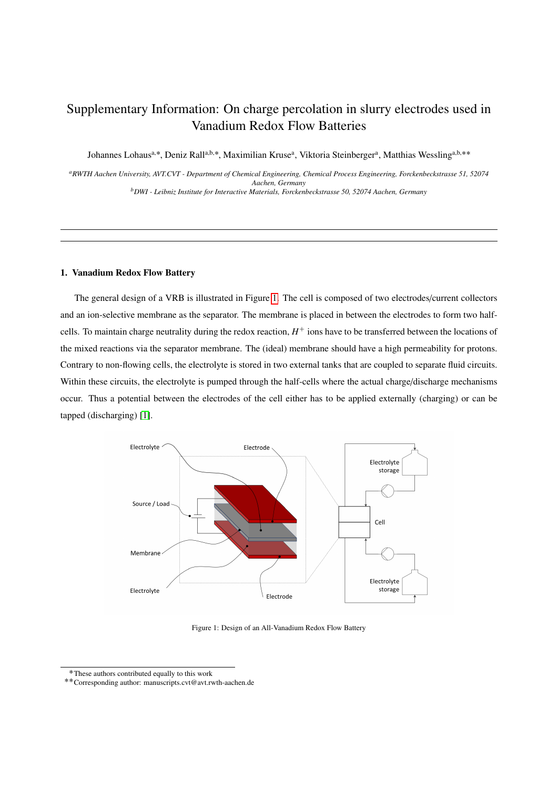# Supplementary Information: On charge percolation in slurry electrodes used in Vanadium Redox Flow Batteries

Johannes Lohaus<sup>a,\*</sup>, Deniz Rall<sup>a,b,\*</sup>, Maximilian Kruse<sup>a</sup>, Viktoria Steinberger<sup>a</sup>, Matthias Wessling<sup>a,b,\*\*</sup>

*<sup>a</sup>RWTH Aachen University, AVT.CVT - Department of Chemical Engineering, Chemical Process Engineering, Forckenbeckstrasse 51, 52074 Aachen, Germany*

*<sup>b</sup>DWI - Leibniz Institute for Interactive Materials, Forckenbeckstrasse 50, 52074 Aachen, Germany*

#### 1. Vanadium Redox Flow Battery

The general design of a VRB is illustrated in Figure [1.](#page-0-0) The cell is composed of two electrodes/current collectors and an ion-selective membrane as the separator. The membrane is placed in between the electrodes to form two halfcells. To maintain charge neutrality during the redox reaction,  $H^+$  ions have to be transferred between the locations of the mixed reactions via the separator membrane. The (ideal) membrane should have a high permeability for protons. Contrary to non-flowing cells, the electrolyte is stored in two external tanks that are coupled to separate fluid circuits. Within these circuits, the electrolyte is pumped through the half-cells where the actual charge/discharge mechanisms occur. Thus a potential between the electrodes of the cell either has to be applied externally (charging) or can be tapped (discharging) [\[1\]](#page-8-0).

<span id="page-0-0"></span>

Figure 1: Design of an All-Vanadium Redox Flow Battery

<sup>˚</sup>These authors contributed equally to this work

<sup>˚˚</sup>Corresponding author: manuscripts.cvt@avt.rwth-aachen.de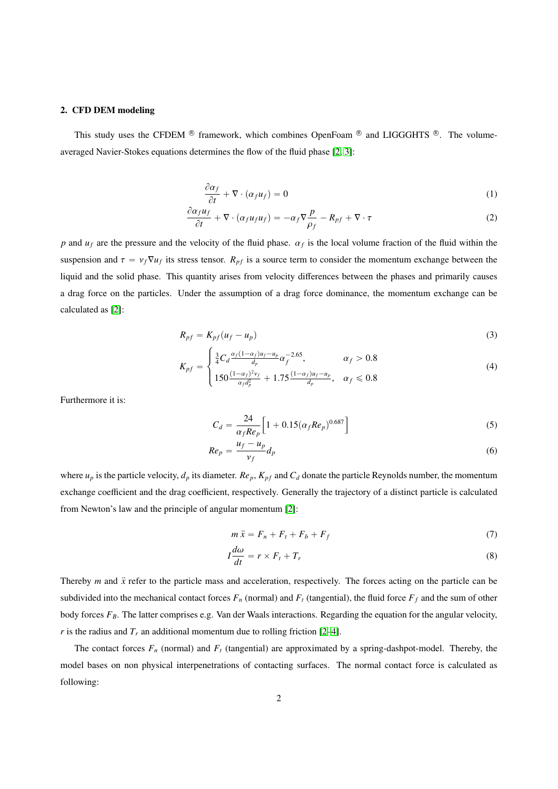#### 2. CFD DEM modeling

This study uses the CFDEM  $\textcircled{\tiny{\textcircled{\tiny{\textcirc}}}}$  framework, which combines OpenFoam  $\textcircled{\tiny{\textcircled{\tiny{\textcirc}}}}$  and LIGGGHTS  $\textcircled{\tiny{\textcircled{\tiny{\textcirc}}}}$ . The volumeaveraged Navier-Stokes equations determines the flow of the fluid phase [\[2,](#page-8-1) [3\]](#page-8-2):

$$
\frac{\partial \alpha_f}{\partial t} + \nabla \cdot (\alpha_f u_f) = 0 \tag{1}
$$

$$
\frac{\partial \alpha_f u_f}{\partial t} + \nabla \cdot (\alpha_f u_f u_f) = -\alpha_f \nabla \frac{p}{\rho_f} - R_{pf} + \nabla \cdot \tau \tag{2}
$$

*p* and  $u_f$  are the pressure and the velocity of the fluid phase.  $\alpha_f$  is the local volume fraction of the fluid within the suspension and  $\tau = v_f \nabla u_f$  its stress tensor.  $R_{pf}$  is a source term to consider the momentum exchange between the liquid and the solid phase. This quantity arises from velocity differences between the phases and primarily causes a drag force on the particles. Under the assumption of a drag force dominance, the momentum exchange can be calculated as [\[2\]](#page-8-1):

$$
R_{pf} = K_{pf}(u_f - u_p) \tag{3}
$$

$$
K_{pf} = \begin{cases} \frac{3}{4} C_d \frac{\alpha_f (1 - \alpha_f) u_f - u_p}{d_p} \alpha_f^{-2.65}, & \alpha_f > 0.8\\ 150 \frac{(1 - \alpha_f)^2 v_f}{\alpha_f d_p^2} + 1.75 \frac{(1 - \alpha_f) u_f - u_p}{d_p}, & \alpha_f \leq 0.8 \end{cases}
$$
(4)

Furthermore it is:

$$
C_d = \frac{24}{\alpha_f Re_p} \Big[ 1 + 0.15 (\alpha_f Re_p)^{0.687} \Big]
$$
 (5)

$$
Re_p = \frac{u_f - u_p}{v_f} d_p \tag{6}
$$

where  $u_p$  is the particle velocity,  $d_p$  its diameter.  $Re_p$ ,  $K_{pf}$  and  $C_d$  donate the particle Reynolds number, the momentum exchange coefficient and the drag coefficient, respectively. Generally the trajectory of a distinct particle is calculated from Newton's law and the principle of angular momentum [\[2\]](#page-8-1):

$$
m\ddot{x} = F_n + F_t + F_b + F_f \tag{7}
$$

$$
I\frac{d\omega}{dt} = r \times F_t + T_r \tag{8}
$$

Thereby *m* and  $\ddot{x}$  refer to the particle mass and acceleration, respectively. The forces acting on the particle can be subdivided into the mechanical contact forces  $F_n$  (normal) and  $F_t$  (tangential), the fluid force  $F_f$  and the sum of other body forces *FB*. The latter comprises e.g. Van der Waals interactions. Regarding the equation for the angular velocity, *r* is the radius and  $T_r$  an additional momentum due to rolling friction [\[2–](#page-8-1)[4\]](#page-8-3).

The contact forces  $F_n$  (normal) and  $F_t$  (tangential) are approximated by a spring-dashpot-model. Thereby, the model bases on non physical interpenetrations of contacting surfaces. The normal contact force is calculated as following: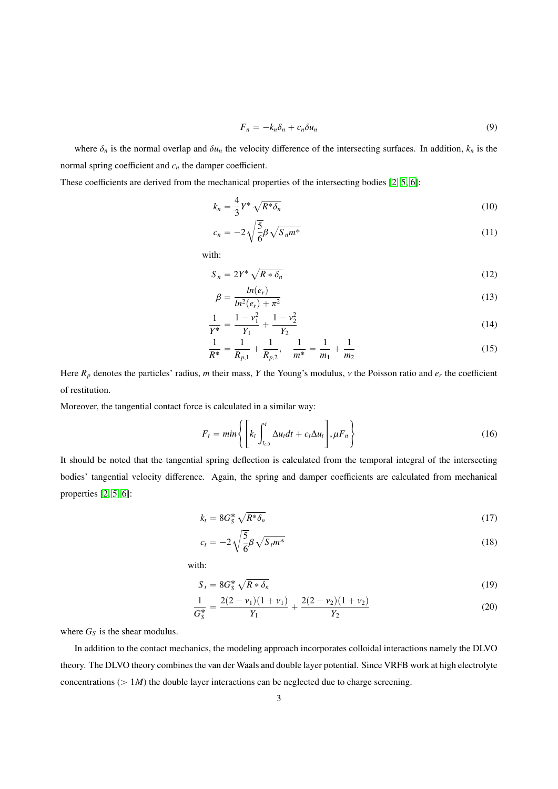$$
F_n = -k_n \delta_n + c_n \delta u_n \tag{9}
$$

where  $\delta_n$  is the normal overlap and  $\delta u_n$  the velocity difference of the intersecting surfaces. In addition,  $k_n$  is the normal spring coefficient and *c<sup>n</sup>* the damper coefficient.

These coefficients are derived from the mechanical properties of the intersecting bodies [\[2,](#page-8-1) [5,](#page-8-4) [6\]](#page-8-5):

$$
k_n = \frac{4}{3} Y^* \sqrt{R^* \delta_n}
$$
 (10)

$$
c_n = -2\sqrt{\frac{5}{6}\beta\sqrt{S_n m^*}}
$$
\n(11)

with:

$$
S_n = 2Y^* \sqrt{R * \delta_n} \tag{12}
$$

$$
\beta = \frac{\ln(e_r)}{\ln^2(e_r) + \pi^2}
$$
\n(13)

$$
\frac{1}{Y^*} = \frac{1 - v_1^2}{Y_1} + \frac{1 - v_2^2}{Y_2} \tag{14}
$$

$$
\frac{1}{R^*} = \frac{1}{R_{p,1}} + \frac{1}{R_{p,2}}, \quad \frac{1}{m^*} = \frac{1}{m_1} + \frac{1}{m_2}
$$
(15)

Here  $R_p$  denotes the particles' radius, *m* their mass, *Y* the Young's modulus, *v* the Poisson ratio and  $e_r$  the coefficient of restitution.

Moreover, the tangential contact force is calculated in a similar way:

$$
F_t = min\left\{ \left[ k_t \int_{t_{c,0}}^t \Delta u_t dt + c_t \Delta u_t \right], \mu F_n \right\}
$$
 (16)

It should be noted that the tangential spring deflection is calculated from the temporal integral of the intersecting bodies' tangential velocity difference. Again, the spring and damper coefficients are calculated from mechanical properties [\[2,](#page-8-1) [5,](#page-8-4) [6\]](#page-8-5):

$$
k_t = 8G_S^* \sqrt{R^* \delta_n} \tag{17}
$$

$$
c_t = -2\sqrt{\frac{5}{6}}\beta\sqrt{S_t m^*}
$$
\n(18)

with:

$$
S_t = 8G_S^* \sqrt{R * \delta_n} \tag{19}
$$

$$
\frac{1}{G_S^*} = \frac{2(2 - \nu_1)(1 + \nu_1)}{Y_1} + \frac{2(2 - \nu_2)(1 + \nu_2)}{Y_2} \tag{20}
$$

where  $G_S$  is the shear modulus.

In addition to the contact mechanics, the modeling approach incorporates colloidal interactions namely the DLVO theory. The DLVO theory combines the van der Waals and double layer potential. Since VRFB work at high electrolyte concentrations  $(> 1M)$  the double layer interactions can be neglected due to charge screening.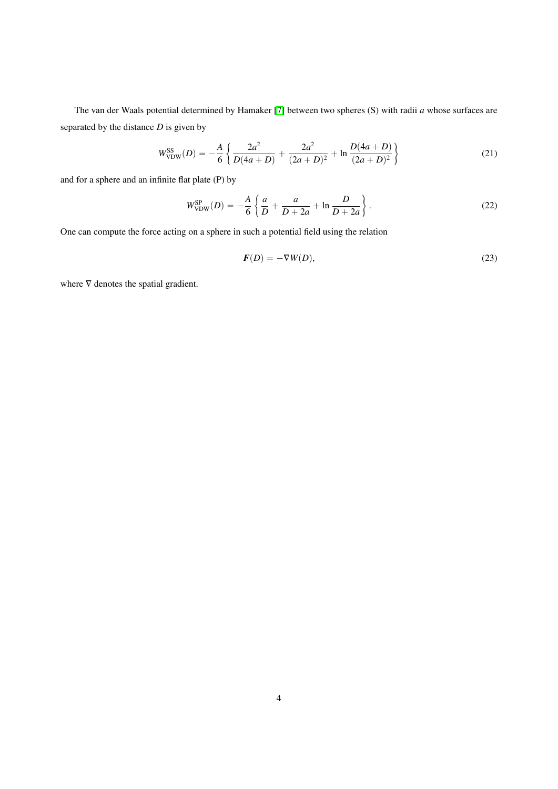The van der Waals potential determined by Hamaker [\[7\]](#page-8-6) between two spheres (S) with radii *a* whose surfaces are separated by the distance *D* is given by

$$
W_{\text{VDW}}^{\text{SS}}(D) = -\frac{A}{6} \left\{ \frac{2a^2}{D(4a+D)} + \frac{2a^2}{(2a+D)^2} + \ln \frac{D(4a+D)}{(2a+D)^2} \right\}
$$
(21)

and for a sphere and an infinite flat plate (P) by

$$
W_{\text{VDW}}^{\text{SP}}(D) = -\frac{A}{6} \left\{ \frac{a}{D} + \frac{a}{D+2a} + \ln \frac{D}{D+2a} \right\}.
$$
 (22)

One can compute the force acting on a sphere in such a potential field using the relation

$$
F(D) = -\nabla W(D),\tag{23}
$$

where  $∇$  denotes the spatial gradient.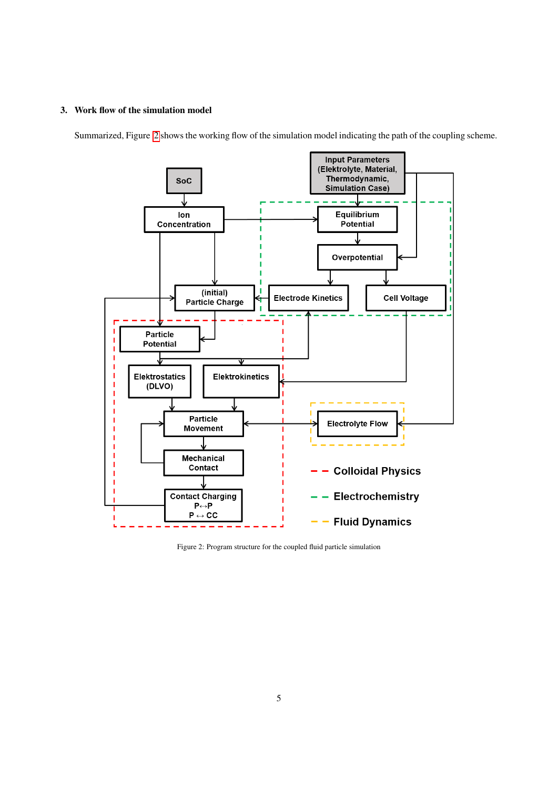### 3. Work flow of the simulation model

<span id="page-4-0"></span>Summarized, Figure [2](#page-4-0) shows the working flow of the simulation model indicating the path of the coupling scheme.



Figure 2: Program structure for the coupled fluid particle simulation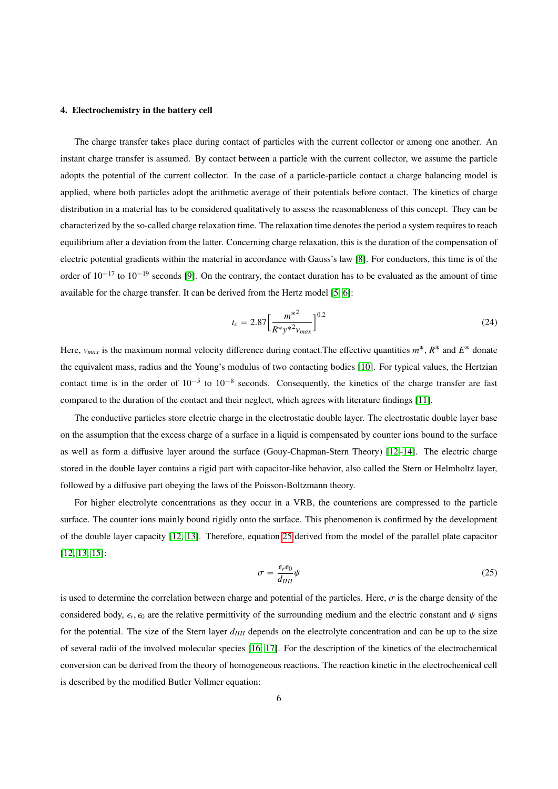#### 4. Electrochemistry in the battery cell

The charge transfer takes place during contact of particles with the current collector or among one another. An instant charge transfer is assumed. By contact between a particle with the current collector, we assume the particle adopts the potential of the current collector. In the case of a particle-particle contact a charge balancing model is applied, where both particles adopt the arithmetic average of their potentials before contact. The kinetics of charge distribution in a material has to be considered qualitatively to assess the reasonableness of this concept. They can be characterized by the so-called charge relaxation time. The relaxation time denotes the period a system requires to reach equilibrium after a deviation from the latter. Concerning charge relaxation, this is the duration of the compensation of electric potential gradients within the material in accordance with Gauss's law [\[8\]](#page-8-7). For conductors, this time is of the order of  $10^{-17}$  to  $10^{-19}$  seconds [\[9\]](#page-8-8). On the contrary, the contact duration has to be evaluated as the amount of time available for the charge transfer. It can be derived from the Hertz model [\[5,](#page-8-4) [6\]](#page-8-5):

$$
t_c = 2.87 \left[ \frac{m^{*2}}{R^* y^{*2} v_{max}} \right]^{0.2}
$$
 (24)

Here,  $v_{max}$  is the maximum normal velocity difference during contact. The effective quantities  $m^*$ ,  $R^*$  and  $E^*$  donate the equivalent mass, radius and the Young's modulus of two contacting bodies [\[10\]](#page-8-9). For typical values, the Hertzian contact time is in the order of  $10^{-5}$  to  $10^{-8}$  seconds. Consequently, the kinetics of the charge transfer are fast compared to the duration of the contact and their neglect, which agrees with literature findings [\[11\]](#page-8-10).

The conductive particles store electric charge in the electrostatic double layer. The electrostatic double layer base on the assumption that the excess charge of a surface in a liquid is compensated by counter ions bound to the surface as well as form a diffusive layer around the surface (Gouy-Chapman-Stern Theory) [\[12](#page-8-11)[–14\]](#page-8-12). The electric charge stored in the double layer contains a rigid part with capacitor-like behavior, also called the Stern or Helmholtz layer, followed by a diffusive part obeying the laws of the Poisson-Boltzmann theory.

For higher electrolyte concentrations as they occur in a VRB, the counterions are compressed to the particle surface. The counter ions mainly bound rigidly onto the surface. This phenomenon is confirmed by the development of the double layer capacity [\[12,](#page-8-11) [13\]](#page-8-13). Therefore, equation [25](#page-5-0) derived from the model of the parallel plate capacitor [\[12,](#page-8-11) [13,](#page-8-13) [15\]](#page-8-14):

<span id="page-5-0"></span>
$$
\sigma = \frac{\epsilon_r \epsilon_0}{d_{HH}} \psi \tag{25}
$$

is used to determine the correlation between charge and potential of the particles. Here,  $\sigma$  is the charge density of the considered body,  $\epsilon_r$ ,  $\epsilon_0$  are the relative permittivity of the surrounding medium and the electric constant and  $\psi$  signs for the potential. The size of the Stern layer  $d_{HH}$  depends on the electrolyte concentration and can be up to the size of several radii of the involved molecular species [\[16,](#page-8-15) [17\]](#page-8-16). For the description of the kinetics of the electrochemical conversion can be derived from the theory of homogeneous reactions. The reaction kinetic in the electrochemical cell is described by the modified Butler Vollmer equation: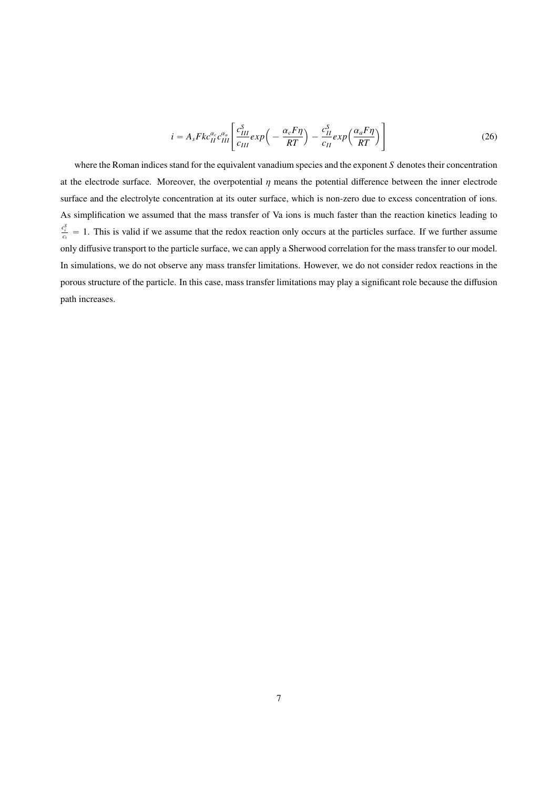$$
i = A_s F k c_{II}^{\alpha_c} c_{III}^{\alpha_a} \left[ \frac{c_{III}^S}{c_{III}} exp\left(-\frac{\alpha_c F \eta}{RT}\right) - \frac{c_{II}^S}{c_{II}} exp\left(\frac{\alpha_a F \eta}{RT}\right) \right]
$$
(26)

where the Roman indices stand for the equivalent vanadium species and the exponent *S* denotes their concentration at the electrode surface. Moreover, the overpotential  $\eta$  means the potential difference between the inner electrode surface and the electrolyte concentration at its outer surface, which is non-zero due to excess concentration of ions. As simplification we assumed that the mass transfer of Va ions is much faster than the reaction kinetics leading to  $\frac{c_i^s}{c_i} = 1$ . This is valid if we assume that the redox reaction only occurs at the particles surface. If we further assume only diffusive transport to the particle surface, we can apply a Sherwood correlation for the mass transfer to our model. In simulations, we do not observe any mass transfer limitations. However, we do not consider redox reactions in the porous structure of the particle. In this case, mass transfer limitations may play a significant role because the diffusion path increases.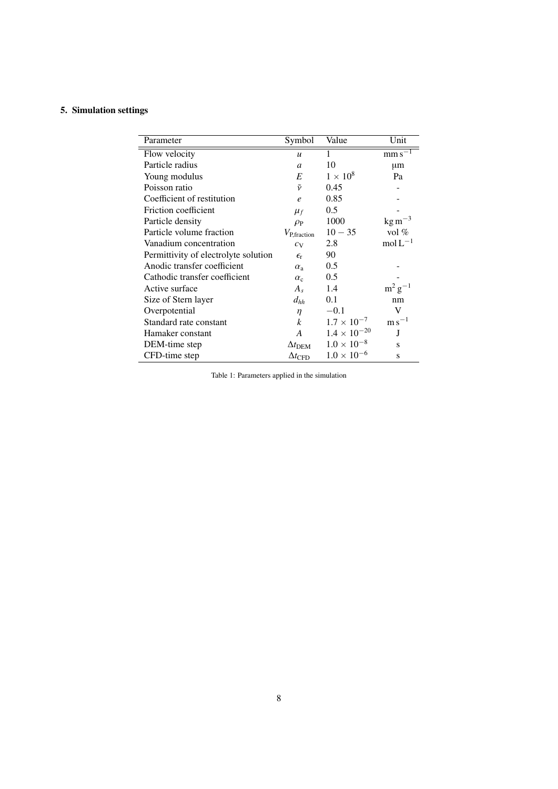## 5. Simulation settings

| Parameter                            | Symbol                  | Value                 | Unit                          |
|--------------------------------------|-------------------------|-----------------------|-------------------------------|
| Flow velocity                        | $\boldsymbol{u}$        | 1                     | mm s                          |
| Particle radius                      | $\overline{a}$          | 10                    | μm                            |
| Young modulus                        | E                       | $1 \times 10^8$       | Pa                            |
| Poisson ratio                        | $\tilde{\nu}$           | 0.45                  |                               |
| Coefficient of restitution           | $\epsilon$              | 0.85                  |                               |
| Friction coefficient                 | $\mu_f$                 | 0.5                   |                               |
| Particle density                     | $\rho_P$                | 1000                  | $\text{kg m}^{-3}$            |
| Particle volume fraction             | $V_{\text{P,fraction}}$ | $10 - 35$             | vol $%$                       |
| Vanadium concentration               | $c_V$                   | 2.8                   | $mol L^{-1}$                  |
| Permittivity of electrolyte solution | $\epsilon_{\text{r}}$   | 90                    |                               |
| Anodic transfer coefficient          | $\alpha_{\rm a}$        | 0.5                   |                               |
| Cathodic transfer coefficient        | $\alpha_c$              | 0.5                   |                               |
| Active surface                       | $A_{s}$                 | 1.4                   | $m^2 g^{-1}$                  |
| Size of Stern layer                  | $d_{hh}$                | 0.1                   | nm                            |
| Overpotential                        | η                       | $-0.1$                | V                             |
| Standard rate constant               | $\boldsymbol{k}$        | $1.7 \times 10^{-7}$  | $\mathrm{m}\,\mathrm{s}^{-1}$ |
| Hamaker constant                     | A                       | $1.4 \times 10^{-20}$ | J                             |
| DEM-time step                        | $\Delta t$ dem          | $1.0 \times 10^{-8}$  | S                             |
| CFD-time step                        | $\Delta t_{\text{CFD}}$ | $1.0 \times 10^{-6}$  | S                             |
|                                      |                         |                       |                               |

Table 1: Parameters applied in the simulation